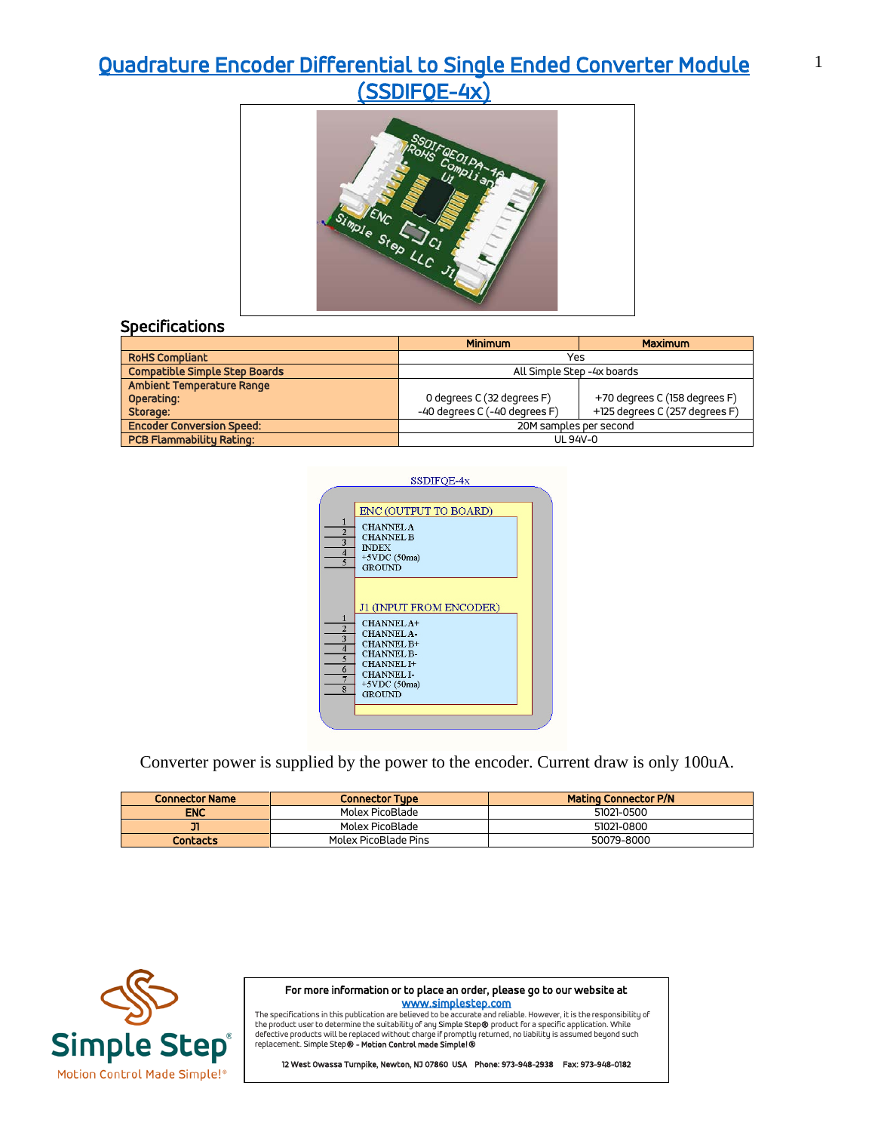## [Quadrature Encoder Differential to Single Ended Converter Module](https://simplestep.com/product/ssdifqe/)  [\(SSDIFQE-4x\)](https://simplestep.com/product/ssdifqe/)



|                                      | <b>Minimum</b>                | <b>Maximum</b>                 |  |
|--------------------------------------|-------------------------------|--------------------------------|--|
| <b>RoHS Compliant</b>                |                               | Yes                            |  |
| <b>Compatible Simple Step Boards</b> |                               | All Simple Step -4x boards     |  |
| Ambient Temperature Range            |                               |                                |  |
| Operating:                           | 0 degrees C (32 degrees F)    | +70 degrees C (158 degrees F)  |  |
| Storage:                             | -40 degrees C (-40 degrees F) | +125 degrees C (257 degrees F) |  |
| <b>Encoder Conversion Speed:</b>     |                               | 20M samples per second         |  |
| <b>PCB Flammability Rating:</b>      |                               | UL 94V-0                       |  |



Converter power is supplied by the power to the encoder. Current draw is only 100uA.

| <b>Connector Name</b> | <b>Connector Tupe</b> | <b>Mating Connector P/N</b> |
|-----------------------|-----------------------|-----------------------------|
| <b>ENC</b>            | Molex PicoBlade       | 51021-0500                  |
| דכ                    | Molex PicoBlade       | 51021-0800                  |
| <b>Contacts</b>       | Molex PicoBlade Pins  | 50079-8000                  |



For more information or to place an order, please go to our website at

www.simplestep.com<br>The specifications in this publication are believed to be accurate and reliable. However, it is the responsibility of the product user to determine the suitability of any Simple Step® product for a specific application. While<br>defective products will be replaced without charge if promptly returned, no liability is assumed beyond such replacement. Simple Step® - Motion Control made Simple!®

12 West Owassa Turnpike, Newton, NJ 07860 USA Phone: 973-948-2938 Fax: 973-948-0182